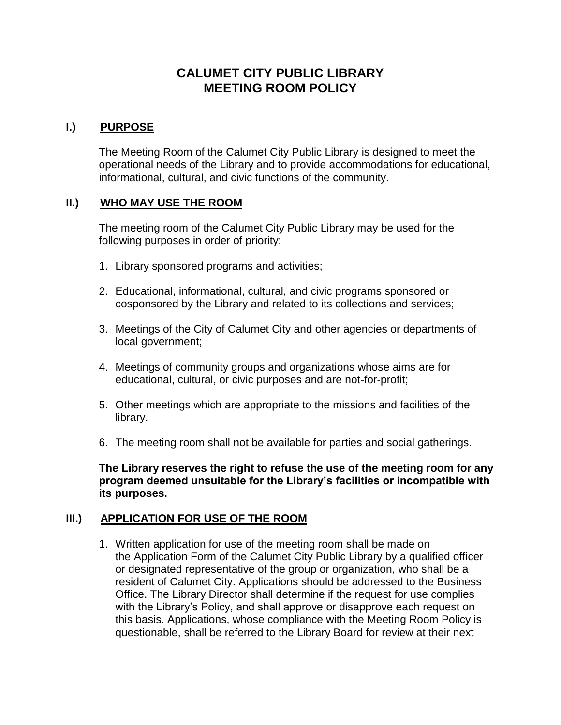# **CALUMET CITY PUBLIC LIBRARY MEETING ROOM POLICY**

## **I.) PURPOSE**

The Meeting Room of the Calumet City Public Library is designed to meet the operational needs of the Library and to provide accommodations for educational, informational, cultural, and civic functions of the community.

## **II.) WHO MAY USE THE ROOM**

The meeting room of the Calumet City Public Library may be used for the following purposes in order of priority:

- 1. Library sponsored programs and activities;
- 2. Educational, informational, cultural, and civic programs sponsored or cosponsored by the Library and related to its collections and services;
- 3. Meetings of the City of Calumet City and other agencies or departments of local government;
- 4. Meetings of community groups and organizations whose aims are for educational, cultural, or civic purposes and are not-for-profit;
- 5. Other meetings which are appropriate to the missions and facilities of the library.
- 6. The meeting room shall not be available for parties and social gatherings.

**The Library reserves the right to refuse the use of the meeting room for any program deemed unsuitable for the Library's facilities or incompatible with its purposes.**

#### **III.) APPLICATION FOR USE OF THE ROOM**

1. Written application for use of the meeting room shall be made on the Application Form of the Calumet City Public Library by a qualified officer or designated representative of the group or organization, who shall be a resident of Calumet City. Applications should be addressed to the Business Office. The Library Director shall determine if the request for use complies with the Library's Policy, and shall approve or disapprove each request on this basis. Applications, whose compliance with the Meeting Room Policy is questionable, shall be referred to the Library Board for review at their next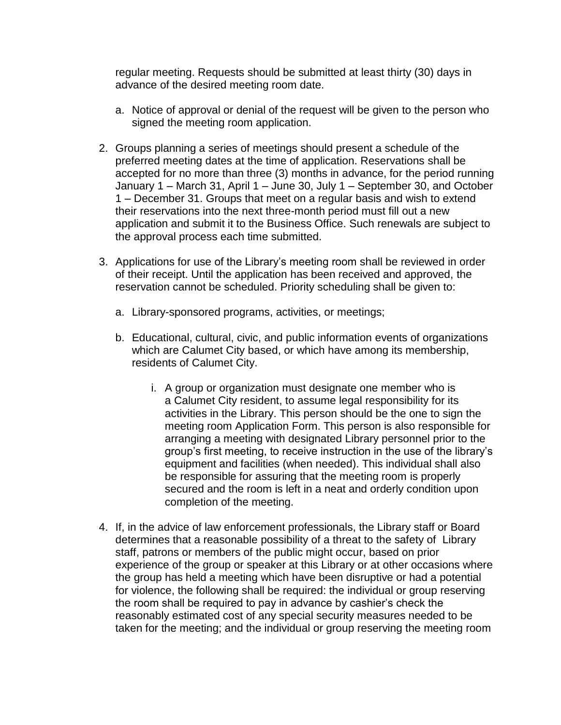regular meeting. Requests should be submitted at least thirty (30) days in advance of the desired meeting room date.

- a. Notice of approval or denial of the request will be given to the person who signed the meeting room application.
- 2. Groups planning a series of meetings should present a schedule of the preferred meeting dates at the time of application. Reservations shall be accepted for no more than three (3) months in advance, for the period running January 1 – March 31, April 1 – June 30, July 1 – September 30, and October 1 – December 31. Groups that meet on a regular basis and wish to extend their reservations into the next three-month period must fill out a new application and submit it to the Business Office. Such renewals are subject to the approval process each time submitted.
- 3. Applications for use of the Library's meeting room shall be reviewed in order of their receipt. Until the application has been received and approved, the reservation cannot be scheduled. Priority scheduling shall be given to:
	- a. Library-sponsored programs, activities, or meetings;
	- b. Educational, cultural, civic, and public information events of organizations which are Calumet City based, or which have among its membership, residents of Calumet City.
		- i. A group or organization must designate one member who is a Calumet City resident, to assume legal responsibility for its activities in the Library. This person should be the one to sign the meeting room Application Form. This person is also responsible for arranging a meeting with designated Library personnel prior to the group's first meeting, to receive instruction in the use of the library's equipment and facilities (when needed). This individual shall also be responsible for assuring that the meeting room is properly secured and the room is left in a neat and orderly condition upon completion of the meeting.
- 4. If, in the advice of law enforcement professionals, the Library staff or Board determines that a reasonable possibility of a threat to the safety of Library staff, patrons or members of the public might occur, based on prior experience of the group or speaker at this Library or at other occasions where the group has held a meeting which have been disruptive or had a potential for violence, the following shall be required: the individual or group reserving the room shall be required to pay in advance by cashier's check the reasonably estimated cost of any special security measures needed to be taken for the meeting; and the individual or group reserving the meeting room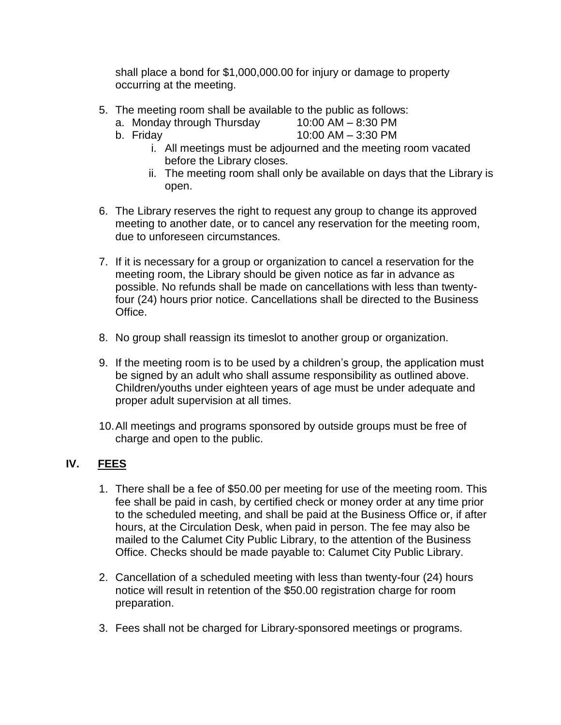shall place a bond for \$1,000,000.00 for injury or damage to property occurring at the meeting.

- 5. The meeting room shall be available to the public as follows:
	- a. Monday through Thursday 10:00 AM 8:30 PM
	-
	- b. Friday 10:00 AM 3:30 PM
		- i. All meetings must be adjourned and the meeting room vacated before the Library closes.
		- ii. The meeting room shall only be available on days that the Library is open.
- 6. The Library reserves the right to request any group to change its approved meeting to another date, or to cancel any reservation for the meeting room, due to unforeseen circumstances.
- 7. If it is necessary for a group or organization to cancel a reservation for the meeting room, the Library should be given notice as far in advance as possible. No refunds shall be made on cancellations with less than twentyfour (24) hours prior notice. Cancellations shall be directed to the Business Office.
- 8. No group shall reassign its timeslot to another group or organization.
- 9. If the meeting room is to be used by a children's group, the application must be signed by an adult who shall assume responsibility as outlined above. Children/youths under eighteen years of age must be under adequate and proper adult supervision at all times.
- 10.All meetings and programs sponsored by outside groups must be free of charge and open to the public.

## **IV. FEES**

- 1. There shall be a fee of \$50.00 per meeting for use of the meeting room. This fee shall be paid in cash, by certified check or money order at any time prior to the scheduled meeting, and shall be paid at the Business Office or, if after hours, at the Circulation Desk, when paid in person. The fee may also be mailed to the Calumet City Public Library, to the attention of the Business Office. Checks should be made payable to: Calumet City Public Library.
- 2. Cancellation of a scheduled meeting with less than twenty-four (24) hours notice will result in retention of the \$50.00 registration charge for room preparation.
- 3. Fees shall not be charged for Library-sponsored meetings or programs.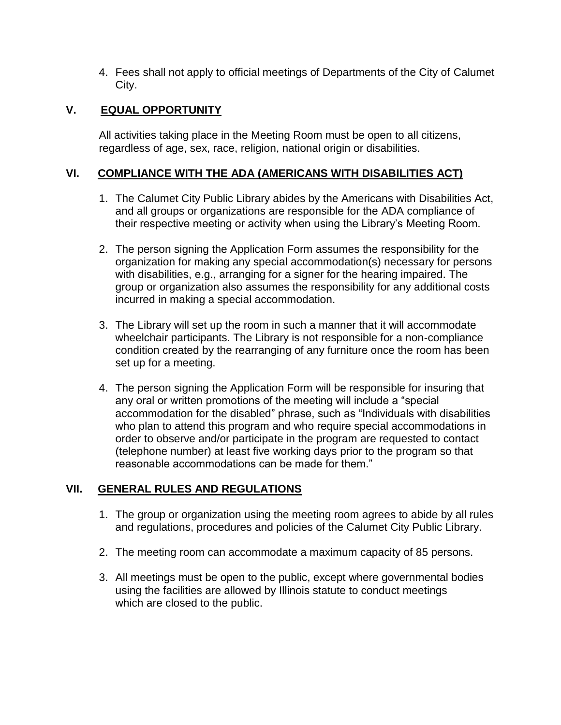4. Fees shall not apply to official meetings of Departments of the City of Calumet City.

## **V. EQUAL OPPORTUNITY**

All activities taking place in the Meeting Room must be open to all citizens, regardless of age, sex, race, religion, national origin or disabilities.

## **VI. COMPLIANCE WITH THE ADA (AMERICANS WITH DISABILITIES ACT)**

- 1. The Calumet City Public Library abides by the Americans with Disabilities Act, and all groups or organizations are responsible for the ADA compliance of their respective meeting or activity when using the Library's Meeting Room.
- 2. The person signing the Application Form assumes the responsibility for the organization for making any special accommodation(s) necessary for persons with disabilities, e.g., arranging for a signer for the hearing impaired. The group or organization also assumes the responsibility for any additional costs incurred in making a special accommodation.
- 3. The Library will set up the room in such a manner that it will accommodate wheelchair participants. The Library is not responsible for a non-compliance condition created by the rearranging of any furniture once the room has been set up for a meeting.
- 4. The person signing the Application Form will be responsible for insuring that any oral or written promotions of the meeting will include a "special accommodation for the disabled" phrase, such as "Individuals with disabilities who plan to attend this program and who require special accommodations in order to observe and/or participate in the program are requested to contact (telephone number) at least five working days prior to the program so that reasonable accommodations can be made for them."

#### **VII. GENERAL RULES AND REGULATIONS**

- 1. The group or organization using the meeting room agrees to abide by all rules and regulations, procedures and policies of the Calumet City Public Library.
- 2. The meeting room can accommodate a maximum capacity of 85 persons.
- 3. All meetings must be open to the public, except where governmental bodies using the facilities are allowed by Illinois statute to conduct meetings which are closed to the public.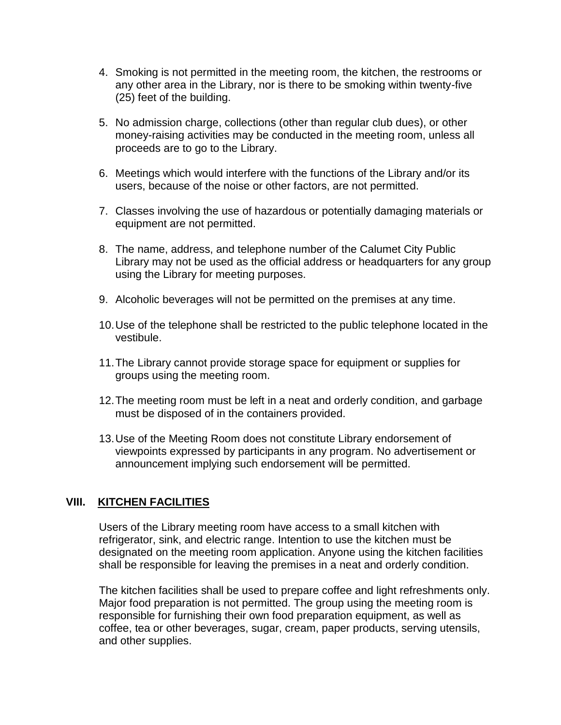- 4. Smoking is not permitted in the meeting room, the kitchen, the restrooms or any other area in the Library, nor is there to be smoking within twenty-five (25) feet of the building.
- 5. No admission charge, collections (other than regular club dues), or other money-raising activities may be conducted in the meeting room, unless all proceeds are to go to the Library.
- 6. Meetings which would interfere with the functions of the Library and/or its users, because of the noise or other factors, are not permitted.
- 7. Classes involving the use of hazardous or potentially damaging materials or equipment are not permitted.
- 8. The name, address, and telephone number of the Calumet City Public Library may not be used as the official address or headquarters for any group using the Library for meeting purposes.
- 9. Alcoholic beverages will not be permitted on the premises at any time.
- 10.Use of the telephone shall be restricted to the public telephone located in the vestibule.
- 11.The Library cannot provide storage space for equipment or supplies for groups using the meeting room.
- 12.The meeting room must be left in a neat and orderly condition, and garbage must be disposed of in the containers provided.
- 13.Use of the Meeting Room does not constitute Library endorsement of viewpoints expressed by participants in any program. No advertisement or announcement implying such endorsement will be permitted.

## **VIII. KITCHEN FACILITIES**

Users of the Library meeting room have access to a small kitchen with refrigerator, sink, and electric range. Intention to use the kitchen must be designated on the meeting room application. Anyone using the kitchen facilities shall be responsible for leaving the premises in a neat and orderly condition.

The kitchen facilities shall be used to prepare coffee and light refreshments only. Major food preparation is not permitted. The group using the meeting room is responsible for furnishing their own food preparation equipment, as well as coffee, tea or other beverages, sugar, cream, paper products, serving utensils, and other supplies.